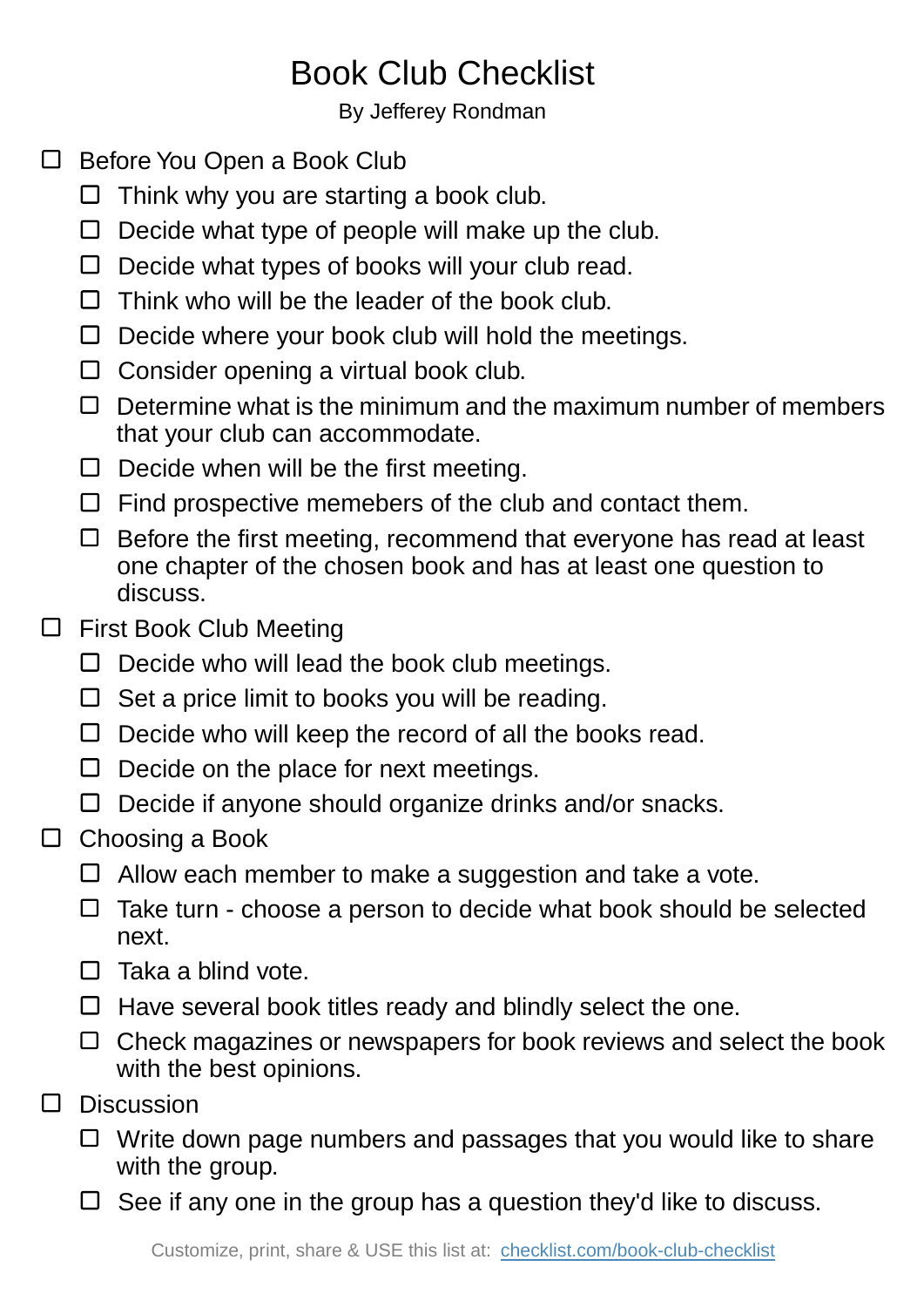## Book Club Checklist

By Jefferey Rondman

- □ Before You Open a Book Club
	- $\Box$  Think why you are starting a book club.
	- $\square$  Decide what type of people will make up the club.
	- $\Box$  Decide what types of books will your club read.
	- $\Box$  Think who will be the leader of the book club.
	- $\Box$  Decide where your book club will hold the meetings.
	- $\Box$  Consider opening a virtual book club.
	- $\Box$  Determine what is the minimum and the maximum number of members that your club can accommodate.
	- $\Box$  Decide when will be the first meeting.
	- $\Box$  Find prospective memebers of the club and contact them.
	- $\Box$  Before the first meeting, recommend that everyone has read at least one chapter of the chosen book and has at least one question to discuss.
- □ First Book Club Meeting
	- $\square$  Decide who will lead the book club meetings.
	- $\Box$  Set a price limit to books you will be reading.
	- $\Box$  Decide who will keep the record of all the books read.
	- $\Box$  Decide on the place for next meetings.
	- $\Box$  Decide if anyone should organize drinks and/or snacks.
- $\Box$  Choosing a Book
	- $\Box$  Allow each member to make a suggestion and take a vote.
	- $\Box$  Take turn choose a person to decide what book should be selected next.
	- $\Box$  Taka a blind vote.
	- $\Box$  Have several book titles ready and blindly select the one.
	- $\Box$  Check magazines or newspapers for book reviews and select the book with the best opinions.
- Discussion  $\Box$ 
	- $\Box$  Write down page numbers and passages that you would like to share with the group.
	- $\Box$  See if any one in the group has a question they'd like to discuss.